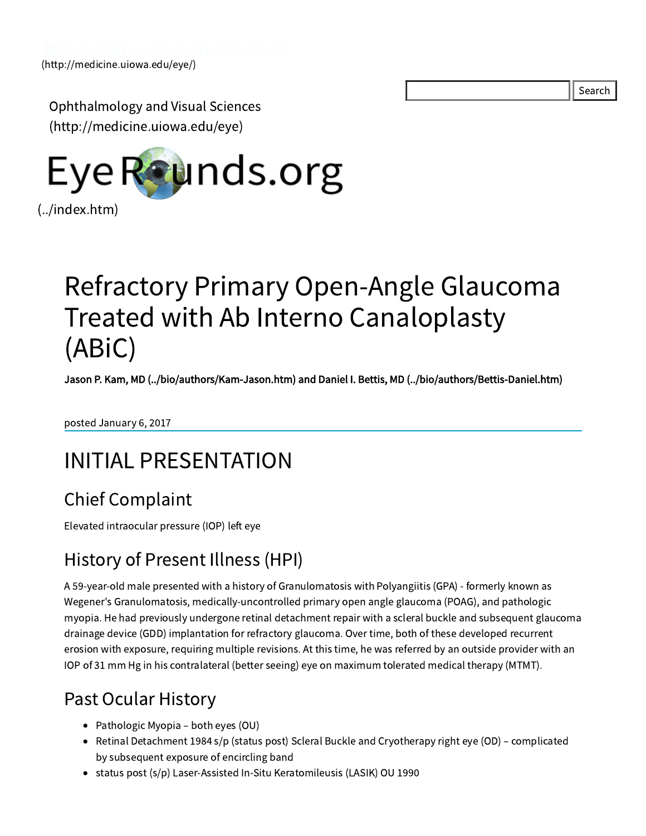Search

Ophthalmology and Visual Sciences [\(http://medicine.uiowa.edu/eye\)](http://medicine.uiowa.edu/eye)



# Refractory Primary Open-Angle Glaucoma Treated with Ab Interno Canaloplasty (ABiC)

Jason P. Kam, MD [\(../bio/authors/Kam-Jason.htm\)](file:///Volumes/Blue/Sites/eyeforum/bio/authors/Kam-Jason.htm) and Daniel I. Bettis, MD [\(../bio/authors/Bettis-Daniel.htm\)](file:///Volumes/Blue/Sites/eyeforum/bio/authors/Bettis-Daniel.htm)

posted January 6, 2017

## INITIAL PRESENTATION

### Chief Complaint

Elevated intraocular pressure (IOP) left eye

### History of Present Illness (HPI)

A 59-year-old male presented with a history of Granulomatosis with Polyangiitis (GPA) - formerly known as Wegener's Granulomatosis, medically-uncontrolled primary open angle glaucoma (POAG), and pathologic myopia. He had previously undergone retinal detachment repair with a scleral buckle and subsequent glaucoma drainage device (GDD) implantation for refractory glaucoma. Over time, both of these developed recurrent erosion with exposure, requiring multiple revisions. At this time, he was referred by an outside provider with an IOP of 31 mm Hg in his contralateral (better seeing) eye on maximum tolerated medical therapy (MTMT).

### Past Ocular History

- Pathologic Myopia both eyes (OU)
- Retinal Detachment 1984 s/p (status post) Scleral Buckle and Cryotherapy right eye (OD) complicated by subsequent exposure of encircling band
- status post (s/p) Laser-Assisted In-Situ Keratomileusis (LASIK) OU 1990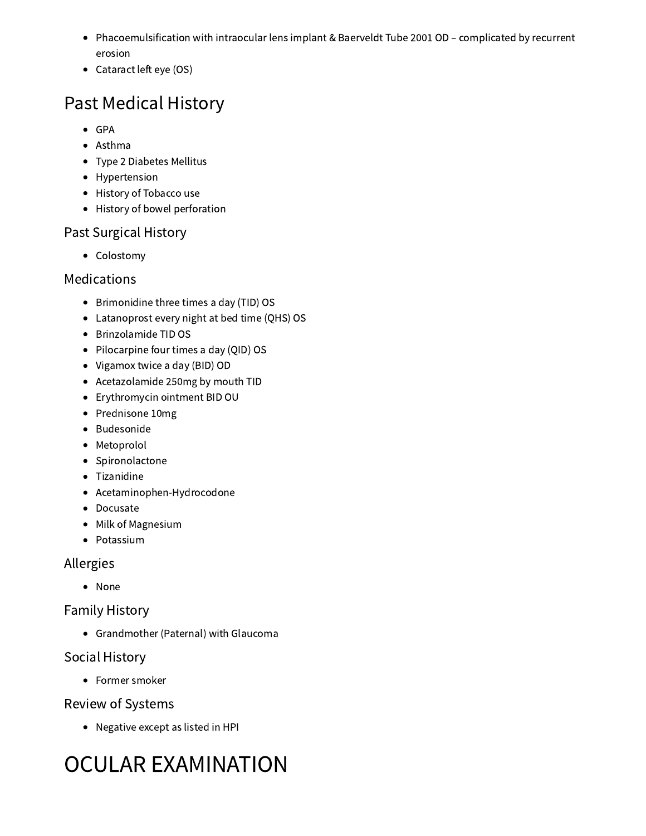- Phacoemulsification with intraocular lens implant & Baerveldt Tube 2001 OD complicated by recurrent erosion
- Cataract left eye (OS)

## Past Medical History

- GPA
- Asthma
- Type 2 Diabetes Mellitus
- Hypertension
- History of Tobacco use
- History of bowel perforation

#### Past Surgical History

• Colostomy

#### Medications

- Brimonidine three times a day (TID) OS
- Latanoprost every night at bed time (QHS) OS
- Brinzolamide TID OS
- Pilocarpine four times a day (QID) OS
- Vigamox twice a day (BID) OD
- Acetazolamide 250mg by mouth TID
- Erythromycin ointment BID OU
- Prednisone 10mg
- · Budesonide
- Metoprolol
- Spironolactone
- Tizanidine
- Acetaminophen-Hydrocodone
- Docusate
- Milk of Magnesium
- Potassium

#### Allergies

None

#### Family History

Grandmother (Paternal) with Glaucoma

#### Social History

• Former smoker

#### Review of Systems

• Negative except as listed in HPI

# OCULAR EXAMINATION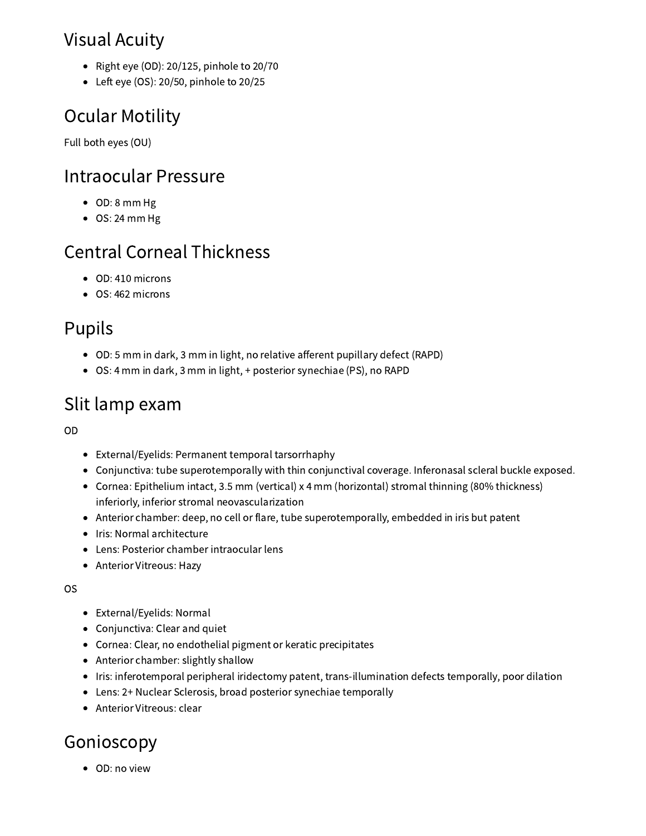### Visual Acuity

- Right eye (OD): 20/125, pinhole to  $20/70$
- $\bullet$  Left eye (OS): 20/50, pinhole to 20/25

## Ocular Motility

Full both eyes (OU)

#### Intraocular Pressure

- OD: 8 mm Hg
- OS: 24 mm Hg

### Central Corneal Thickness

- OD: 410 microns
- OS: 462 microns

### Pupils

- OD: 5 mm in dark, 3 mm in light, no relative afferent pupillary defect (RAPD)
- OS: 4 mm in dark, 3 mm in light, + posterior synechiae (PS), no RAPD

### Slit lamp exam

OD

- External/Eyelids: Permanent temporal tarsorrhaphy
- Conjunctiva: tube superotemporally with thin conjunctival coverage. Inferonasal scleral buckle exposed.
- Cornea: Epithelium intact, 3.5 mm (vertical) x 4 mm (horizontal) stromal thinning (80% thickness) inferiorly, inferior stromal neovascularization
- Anterior chamber: deep, no cell or flare, tube superotemporally, embedded in iris but patent
- Iris: Normal architecture
- Lens: Posterior chamber intraocular lens
- Anterior Vitreous: Hazy

OS

- External/Eyelids: Normal
- Conjunctiva: Clear and quiet
- Cornea: Clear, no endothelial pigment or keratic precipitates
- Anterior chamber: slightly shallow
- Iris: inferotemporal peripheral iridectomy patent, trans-illumination defects temporally, poor dilation
- Lens: 2+ Nuclear Sclerosis, broad posterior synechiae temporally
- Anterior Vitreous: clear

### Gonioscopy

• OD: no view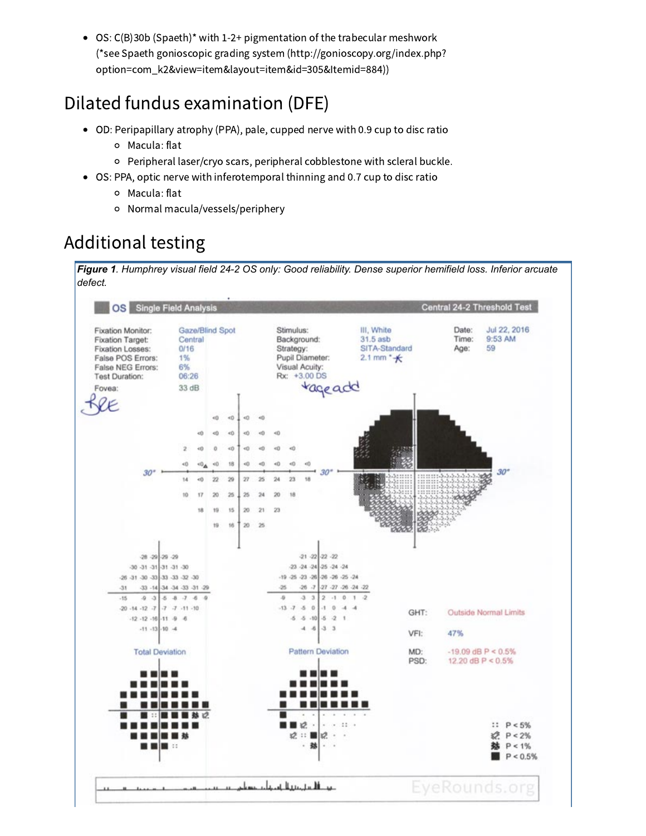OS: C(B)30b (Spaeth)\* with 1-2+ pigmentation of the trabecular meshwork (\*see Spaeth gonioscopic grading system (http://gonioscopy.org/index.php? [option=com\\_k2&view=item&layout=item&id=305&Itemid=884\)\)](http://gonioscopy.org/index.php?option=com_k2&view=item&layout=item&id=305&Itemid=884)

### Dilated fundus examination (DFE)

- OD: Peripapillary atrophy (PPA), pale, cupped nerve with 0.9 cup to disc ratio
	- Macula: flat
	- Peripheral laser/cryo scars, peripheral cobblestone with scleral buckle.
- OS: PPA, optic nerve with inferotemporal thinning and 0.7 cup to disc ratio
	- Macula: flat
	- Normal macula/vessels/periphery

### Additional testing

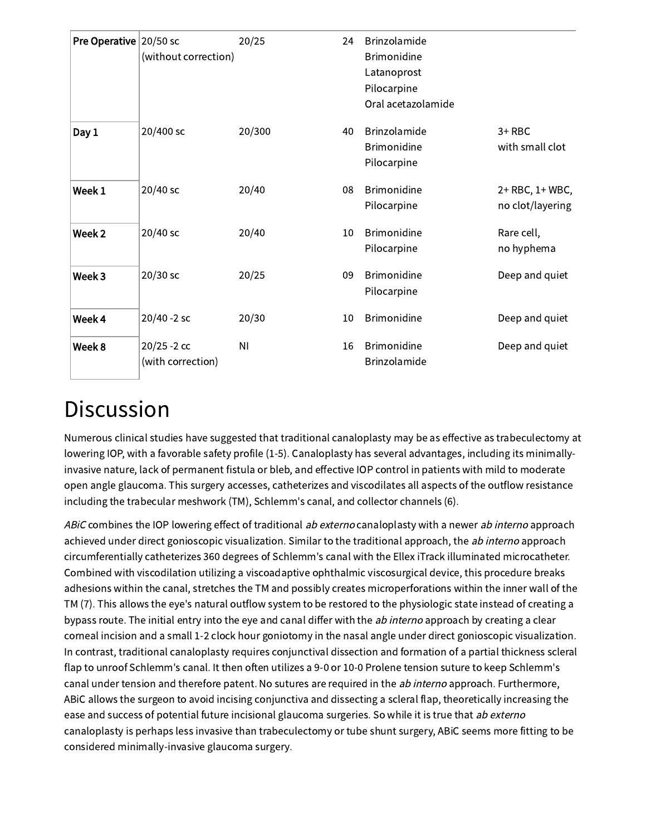| <b>Pre Operative</b> 20/50 sc | (without correction)                | 20/25          | 24 | Brinzolamide<br><b>Brimonidine</b><br>Latanoprost<br>Pilocarpine<br>Oral acetazolamide |                                     |
|-------------------------------|-------------------------------------|----------------|----|----------------------------------------------------------------------------------------|-------------------------------------|
| Day 1                         | 20/400 sc                           | 20/300         | 40 | Brinzolamide<br><b>Brimonidine</b><br>Pilocarpine                                      | $3+RBC$<br>with small clot          |
| Week 1                        | 20/40 sc                            | 20/40          | 08 | <b>Brimonidine</b><br>Pilocarpine                                                      | 2+ RBC, 1+ WBC,<br>no clot/layering |
| Week <sub>2</sub>             | 20/40 sc                            | 20/40          | 10 | Brimonidine<br>Pilocarpine                                                             | Rare cell,<br>no hyphema            |
| Week 3                        | $20/30$ sc                          | 20/25          | 09 | <b>Brimonidine</b><br>Pilocarpine                                                      | Deep and quiet                      |
| Week 4                        | 20/40 -2 sc                         | 20/30          | 10 | <b>Brimonidine</b>                                                                     | Deep and quiet                      |
| Week 8                        | $20/25 - 2$ cc<br>(with correction) | N <sub>1</sub> | 16 | <b>Brimonidine</b><br>Brinzolamide                                                     | Deep and quiet                      |

## **Discussion**

Numerous clinical studies have suggested that traditional canaloplasty may be as effective as trabeculectomy at lowering IOP, with a favorable safety profile (1-5). Canaloplasty has several advantages, including its minimallyinvasive nature, lack of permanent fistula or bleb, and effective IOP control in patients with mild to moderate open angle glaucoma. This surgery accesses, catheterizes and viscodilates all aspects of the outflow resistance including the trabecular meshwork (TM), Schlemm's canal, and collector channels (6).

ABIC combines the IOP lowering effect of traditional ab externo canaloplasty with a newer ab interno approach achieved under direct gonioscopic visualization. Similar to the traditional approach, the ab interno approach circumferentially catheterizes 360 degrees of Schlemm's canal with the Ellex iTrack illuminated microcatheter. Combined with viscodilation utilizing a viscoadaptive ophthalmic viscosurgical device, this procedure breaks adhesions within the canal, stretches the TM and possibly creates microperforations within the inner wall of the TM (7). This allows the eye's natural outflow system to be restored to the physiologic state instead of creating a bypass route. The initial entry into the eye and canal differ with the ab interno approach by creating a clear corneal incision and a small 1-2 clock hour goniotomy in the nasal angle under direct gonioscopic visualization. In contrast, traditional canaloplasty requires conjunctival dissection and formation of a partial thickness scleral flap to unroof Schlemm's canal. It then often utilizes a 9-0 or 10-0 Prolene tension suture to keep Schlemm's canal under tension and therefore patent. No sutures are required in the ab interno approach. Furthermore, ABiC allows the surgeon to avoid incising conjunctiva and dissecting a scleral flap, theoretically increasing the ease and success of potential future incisional glaucoma surgeries. So while it is true that ab externo canaloplasty is perhaps less invasive than trabeculectomy or tube shunt surgery, ABiC seems more fitting to be considered minimally-invasive glaucoma surgery.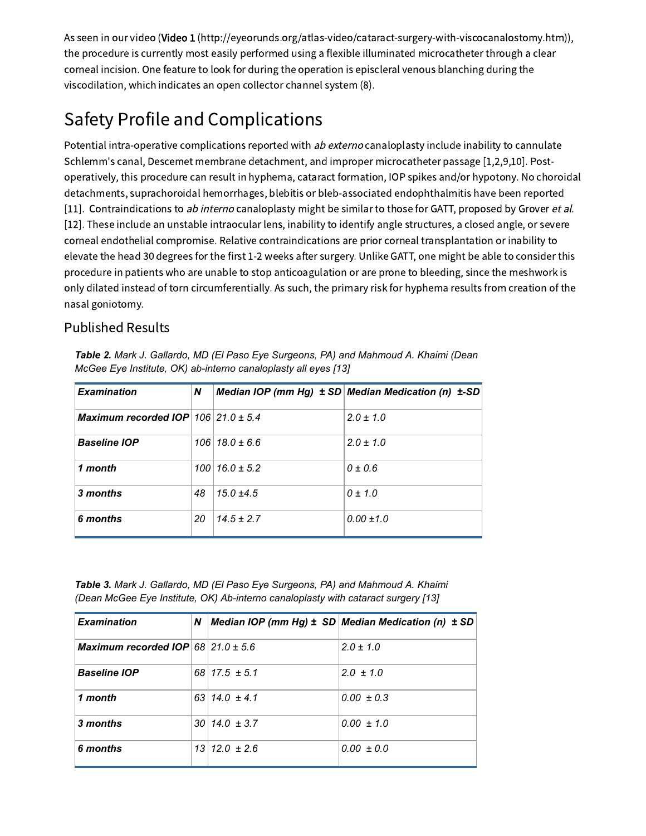As seen in our video (Video 1 [\(http://eyeorunds.org/atlas-video/cataract-surgery-with-viscocanalostomy.htm\)](http://eyeorunds.org/atlas-video/cataract-surgery-with-viscocanalostomy.htm)), the procedure is currently most easily performed using a flexible illuminated microcatheter through a clear corneal incision. One feature to look for during the operation is episcleral venous blanching during the viscodilation, which indicates an open collector channel system (8).

## Safety Profile and Complications

Potential intra-operative complications reported with ab externo canaloplasty include inability to cannulate Schlemm's canal, Descemet membrane detachment, and improper microcatheter passage [1,2,9,10]. Postoperatively, this procedure can result in hyphema, cataract formation, IOP spikes and/or hypotony. No choroidal detachments, suprachoroidal hemorrhages, blebitis or bleb-associated endophthalmitis have been reported [11]. Contraindications to ab interno canaloplasty might be similar to those for GATT, proposed by Grover et al. [12]. These include an unstable intraocular lens, inability to identify angle structures, a closed angle, or severe corneal endothelial compromise. Relative contraindications are prior corneal transplantation or inability to elevate the head 30 degrees for the first 1-2 weeks after surgery. Unlike GATT, one might be able to consider this procedure in patients who are unable to stop anticoagulation or are prone to bleeding, since the meshwork is only dilated instead of torn circumferentially. As such, the primary risk for hyphema results from creation of the nasal goniotomy.

#### Published Results

| <b>Examination</b>                               | N  |                         | Median IOP (mm Hg) $\pm$ SD Median Medication (n) $\pm$ -SD |
|--------------------------------------------------|----|-------------------------|-------------------------------------------------------------|
| <b>Maximum recorded IOP</b> $106$ 21.0 $\pm$ 5.4 |    |                         | $2.0 \pm 1.0$                                               |
| <b>Baseline IOP</b>                              |    | $106$   18.0 ± 6.6      | $2.0 \pm 1.0$                                               |
| 1 month                                          |    | $100 \mid 16.0 \pm 5.2$ | $0 \pm 0.6$                                                 |
| 3 months                                         | 48 | $15.0 \pm 4.5$          | $0 \pm 1.0$                                                 |
| 6 months                                         | 20 | $14.5 \pm 2.7$          | $0.00 \pm 1.0$                                              |

*Table 2. Mark J. Gallardo, MD (El Paso Eye Surgeons, PA) and Mahmoud A. Khaimi (Dean McGee Eye Institute, OK) ab-interno canaloplasty all eyes [13]*

*Table 3. Mark J. Gallardo, MD (El Paso Eye Surgeons, PA) and Mahmoud A. Khaimi (Dean McGee Eye Institute, OK) Ab-interno canaloplasty with cataract surgery [13]*

| <b>Examination</b>                                | N |                        | Median IOP (mm Hg) $\pm$ SD Median Medication (n) $\pm$ SD |
|---------------------------------------------------|---|------------------------|------------------------------------------------------------|
| Maximum recorded $\text{IOP}$ 68   21.0 $\pm$ 5.6 |   |                        | $2.0 \pm 1.0$                                              |
| <b>Baseline IOP</b>                               |   | $68\vert 17.5 \pm 5.1$ | $2.0 \pm 1.0$                                              |
| 1 month                                           |   | $63 14.0 \pm 4.1$      | $0.00 \pm 0.3$                                             |
| 3 months                                          |   | $30 14.0 \pm 3.7$      | $0.00 \pm 1.0$                                             |
| 6 months                                          |   | $13 12.0 \pm 2.6$      | $0.00 \pm 0.0$                                             |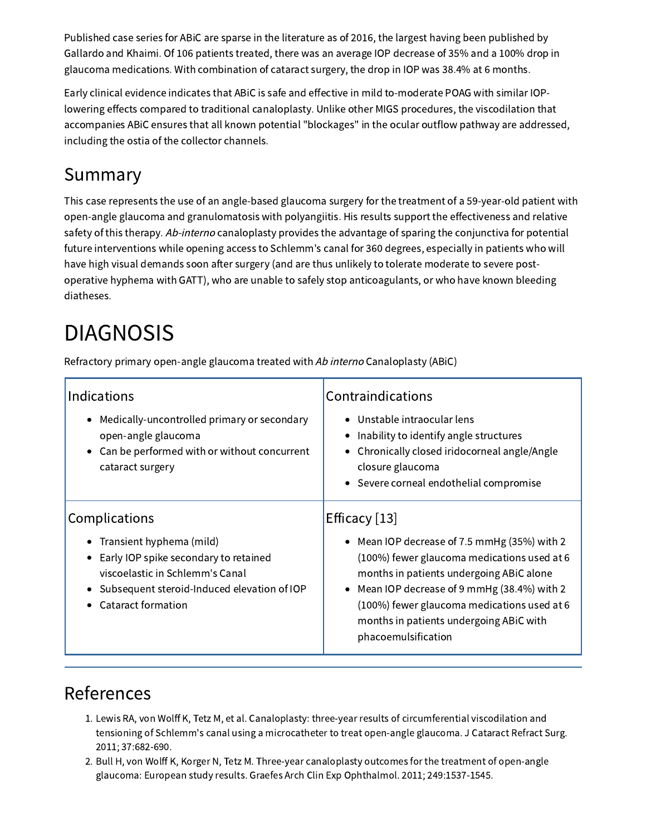Published case series for ABiC are sparse in the literature as of 2016, the largest having been published by Gallardo and Khaimi. Of 106 patients treated, there was an average IOP decrease of 35% and a 100% drop in glaucoma medications. With combination of cataract surgery, the drop in IOP was 38.4% at 6 months.

Early clinical evidence indicates that ABiC is safe and effective in mild to-moderate POAG with similar IOPlowering effects compared to traditional canaloplasty. Unlike other MIGS procedures, the viscodilation that accompanies ABiC ensures that all known potential "blockages" in the ocular outflow pathway are addressed, including the ostia of the collector channels.

### Summary

This case represents the use of an angle-based glaucoma surgery for the treatment of a 59-year-old patient with open-angle glaucoma and granulomatosis with polyangiitis. His results support the effectiveness and relative safety of this therapy. Ab-interno canaloplasty provides the advantage of sparing the conjunctiva for potential future interventions while opening access to Schlemm's canal for 360 degrees, especially in patients who will have high visual demands soon after surgery (and are thus unlikely to tolerate moderate to severe postoperative hyphema with GATT), who are unable to safely stop anticoagulants, or who have known bleeding diatheses.

# DIAGNOSIS

Refractory primary open-angle glaucoma treated with Ab interno Canaloplasty (ABiC)

| Indications<br>Medically-uncontrolled primary or secondary<br>$\bullet$<br>open-angle glaucoma<br>Can be performed with or without concurrent<br>$\bullet$<br>cataract surgery                                            | Contraindications<br>Unstable intraocular lens<br>Inability to identify angle structures<br>Chronically closed iridocorneal angle/Angle<br>closure glaucoma<br>Severe corneal endothelial compromise                                                                                                                    |
|---------------------------------------------------------------------------------------------------------------------------------------------------------------------------------------------------------------------------|-------------------------------------------------------------------------------------------------------------------------------------------------------------------------------------------------------------------------------------------------------------------------------------------------------------------------|
| Complications<br>Transient hyphema (mild)<br>$\bullet$<br>Early IOP spike secondary to retained<br>٠<br>viscoelastic in Schlemm's Canal<br>Subsequent steroid-Induced elevation of IOP<br>$\bullet$<br>Cataract formation | Efficacy $[13]$<br>Mean IOP decrease of 7.5 mmHg (35%) with 2<br>(100%) fewer glaucoma medications used at 6<br>months in patients undergoing ABiC alone<br>Mean IOP decrease of 9 mmHg (38.4%) with 2<br>(100%) fewer glaucoma medications used at 6<br>months in patients undergoing ABiC with<br>phacoemulsification |

#### References

- 1. Lewis RA, von Wolff K, Tetz M, et al. Canaloplasty: three-year results of circumferential viscodilation and tensioning of Schlemm's canal using a microcatheter to treat open-angle glaucoma. J Cataract Refract Surg. 2011; 37:682-690.
- 2. Bull H, von Wolff K, Korger N, Tetz M. Three-year canaloplasty outcomes for the treatment of open-angle glaucoma: European study results. Graefes Arch Clin Exp Ophthalmol. 2011; 249:1537-1545.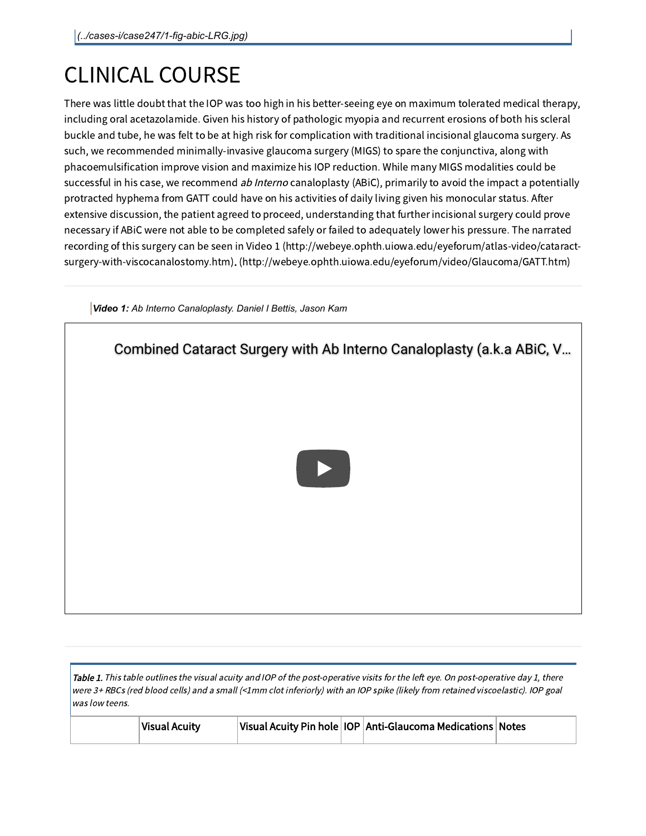# CLINICAL COURSE

There was little doubt that the IOP was too high in his better-seeing eye on maximum tolerated medical therapy, including oral acetazolamide. Given his history of pathologic myopia and recurrent erosions of both his scleral buckle and tube, he was felt to be at high risk for complication with traditional incisional glaucoma surgery. As such, we recommended minimally-invasive glaucoma surgery (MIGS) to spare the conjunctiva, along with phacoemulsification improve vision and maximize his IOP reduction. While many MIGS modalities could be successful in his case, we recommend ab Interno canaloplasty (ABiC), primarily to avoid the impact a potentially protracted hyphema from GATT could have on his activities of daily living given his monocular status. After extensive discussion, the patient agreed to proceed, understanding that further incisional surgery could prove necessary if ABiC were not able to be completed safely or failed to adequately lower his pressure. The narrated recording of this surgery can be seen in Video 1 (http://webeye.ophth.uiowa.edu/eyeforum/atlas-video/cataractsurgery-with-viscocanalostomy.htm). [\(http://webeye.ophth.uiowa.edu/eyeforum/video/Glaucoma/GATT.htm\)](http://webeye.ophth.uiowa.edu/eyeforum/atlas-video/cataract-surgery-with-viscocanalostomy.htm)



Table 1. This table outlines the visual acuity and IOP of the post-operative visits for the left eye. On post-operative day 1, there were 3+ RBCs (red blood cells) and <sup>a</sup> small (<1mm clot inferiorly) with an IOP spike (likely from retained viscoelastic). IOP goal was low teens.

| <b>Visual Acuity</b> |  | Visual Acuity Pin hole   IOP   Anti-Glaucoma Medications   Notes |  |
|----------------------|--|------------------------------------------------------------------|--|
|----------------------|--|------------------------------------------------------------------|--|

*Video 1: Ab Interno Canaloplasty. Daniel I Bettis, Jason Kam*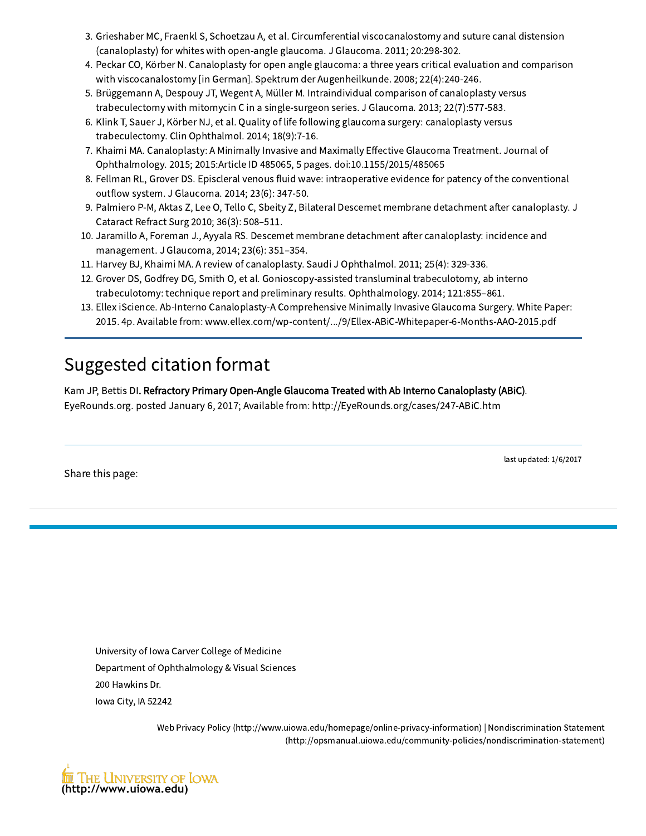- 3. Grieshaber MC, Fraenkl S, Schoetzau A, et al. Circumferential viscocanalostomy and suture canal distension (canaloplasty) for whites with open-angle glaucoma. J Glaucoma. 2011; 20:298-302.
- 4. Peckar CO, Körber N. Canaloplasty for open angle glaucoma: a three years critical evaluation and comparison with viscocanalostomy [in German]. Spektrum der Augenheilkunde. 2008; 22(4):240-246.
- 5. Brüggemann A, Despouy JT, Wegent A, Müller M. Intraindividual comparison of canaloplasty versus trabeculectomy with mitomycin C in a single-surgeon series. J Glaucoma. 2013; 22(7):577-583.
- 6. Klink T, Sauer J, Körber NJ, et al. Quality of life following glaucoma surgery: canaloplasty versus trabeculectomy. Clin Ophthalmol. 2014; 18(9):7-16.
- 7. Khaimi MA. Canaloplasty: A Minimally Invasive and Maximally Effective Glaucoma Treatment. Journal of Ophthalmology. 2015; 2015:Article ID 485065, 5 pages. doi:10.1155/2015/485065
- 8. Fellman RL, Grover DS. Episcleral venous fluid wave: intraoperative evidence for patency of the conventional outflow system. J Glaucoma. 2014; 23(6): 347-50.
- 9. Palmiero P-M, Aktas Z, Lee O, Tello C, Sbeity Z, Bilateral Descemet membrane detachment after canaloplasty. J Cataract Refract Surg 2010; 36(3): 508–511.
- 10. Jaramillo A, Foreman J., Ayyala RS. Descemet membrane detachment after canaloplasty: incidence and management. J Glaucoma, 2014; 23(6): 351–354.
- 11. Harvey BJ, Khaimi MA. A review of canaloplasty. Saudi J Ophthalmol. 2011; 25(4): 329-336.
- 12. Grover DS, Godfrey DG, Smith O, et al. Gonioscopy-assisted transluminal trabeculotomy, ab interno trabeculotomy: technique report and preliminary results. Ophthalmology. 2014; 121:855–861.
- 13. Ellex iScience. Ab-Interno Canaloplasty-A Comprehensive Minimally Invasive Glaucoma Surgery. White Paper: 2015. 4p. Available from: www.ellex.com/wp-content/.../9/Ellex-ABiC-Whitepaper-6-Months-AAO-2015.pdf

#### Suggested citation format

Kam JP, Bettis DI. Refractory Primary Open-Angle Glaucoma Treated with Ab Interno Canaloplasty (ABiC). EyeRounds.org. posted January 6, 2017; Available from: http://EyeRounds.org/cases/247-ABiC.htm

Share this page:

last updated: 1/6/2017

University of Iowa Carver College of Medicine Department of Ophthalmology & Visual Sciences 200 Hawkins Dr. Iowa City, IA 52242

> Web Privacy Policy [\(http://www.uiowa.edu/homepage/online-privacy-information\)](http://www.uiowa.edu/homepage/online-privacy-information) | Nondiscrimination Statement [\(http://opsmanual.uiowa.edu/community-policies/nondiscrimination-statement\)](http://opsmanual.uiowa.edu/community-policies/nondiscrimination-statement)